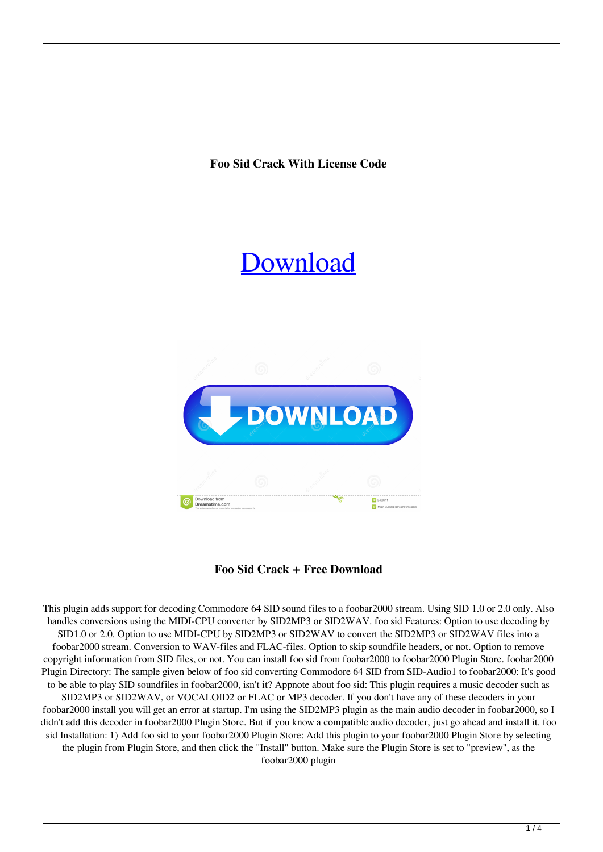**Foo Sid Crack With License Code**

# [Download](http://evacdir.com/ZG93bmxvYWR8VGQxT0dGb1lYeDhNVFkxTkRRek5qWTFPSHg4TWpVNU1IeDhLRTBwSUZkdmNtUndjbVZ6Y3lCYldFMU1VbEJESUZZeUlGQkVSbDA?pinhey=Zm9vIHNpZAZm9.astonish.carrier.motorportal)



## **Foo Sid Crack + Free Download**

This plugin adds support for decoding Commodore 64 SID sound files to a foobar2000 stream. Using SID 1.0 or 2.0 only. Also handles conversions using the MIDI-CPU converter by SID2MP3 or SID2WAV. foo sid Features: Option to use decoding by SID1.0 or 2.0. Option to use MIDI-CPU by SID2MP3 or SID2WAV to convert the SID2MP3 or SID2WAV files into a foobar2000 stream. Conversion to WAV-files and FLAC-files. Option to skip soundfile headers, or not. Option to remove copyright information from SID files, or not. You can install foo sid from foobar2000 to foobar2000 Plugin Store. foobar2000 Plugin Directory: The sample given below of foo sid converting Commodore 64 SID from SID-Audio1 to foobar2000: It's good to be able to play SID soundfiles in foobar2000, isn't it? Appnote about foo sid: This plugin requires a music decoder such as SID2MP3 or SID2WAV, or VOCALOID2 or FLAC or MP3 decoder. If you don't have any of these decoders in your foobar2000 install you will get an error at startup. I'm using the SID2MP3 plugin as the main audio decoder in foobar2000, so I didn't add this decoder in foobar2000 Plugin Store. But if you know a compatible audio decoder, just go ahead and install it. foo sid Installation: 1) Add foo sid to your foobar2000 Plugin Store: Add this plugin to your foobar2000 Plugin Store by selecting the plugin from Plugin Store, and then click the "Install" button. Make sure the Plugin Store is set to "preview", as the foobar2000 plugin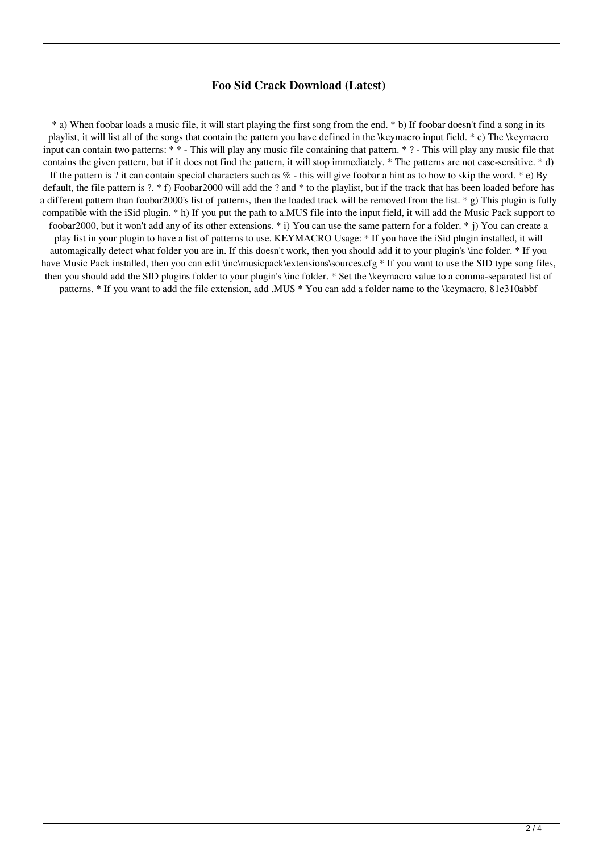#### **Foo Sid Crack Download (Latest)**

\* a) When foobar loads a music file, it will start playing the first song from the end. \* b) If foobar doesn't find a song in its playlist, it will list all of the songs that contain the pattern you have defined in the \keymacro input field. \* c) The \keymacro input can contain two patterns: \* \* - This will play any music file containing that pattern. \* ? - This will play any music file that contains the given pattern, but if it does not find the pattern, it will stop immediately. \* The patterns are not case-sensitive. \* d) If the pattern is ? it can contain special characters such as  $\%$  - this will give foobar a hint as to how to skip the word. \* e) By default, the file pattern is ?. \* f) Foobar2000 will add the ? and \* to the playlist, but if the track that has been loaded before has a different pattern than foobar2000's list of patterns, then the loaded track will be removed from the list. \* g) This plugin is fully compatible with the iSid plugin. \* h) If you put the path to a.MUS file into the input field, it will add the Music Pack support to foobar2000, but it won't add any of its other extensions. \* i) You can use the same pattern for a folder. \* j) You can create a play list in your plugin to have a list of patterns to use. KEYMACRO Usage: \* If you have the iSid plugin installed, it will automagically detect what folder you are in. If this doesn't work, then you should add it to your plugin's \inc folder. \* If you have Music Pack installed, then you can edit \inc\musicpack\extensions\sources.cfg \* If you want to use the SID type song files. then you should add the SID plugins folder to your plugin's \inc folder. \* Set the \keymacro value to a comma-separated list of patterns. \* If you want to add the file extension, add .MUS \* You can add a folder name to the \keymacro, 81e310abbf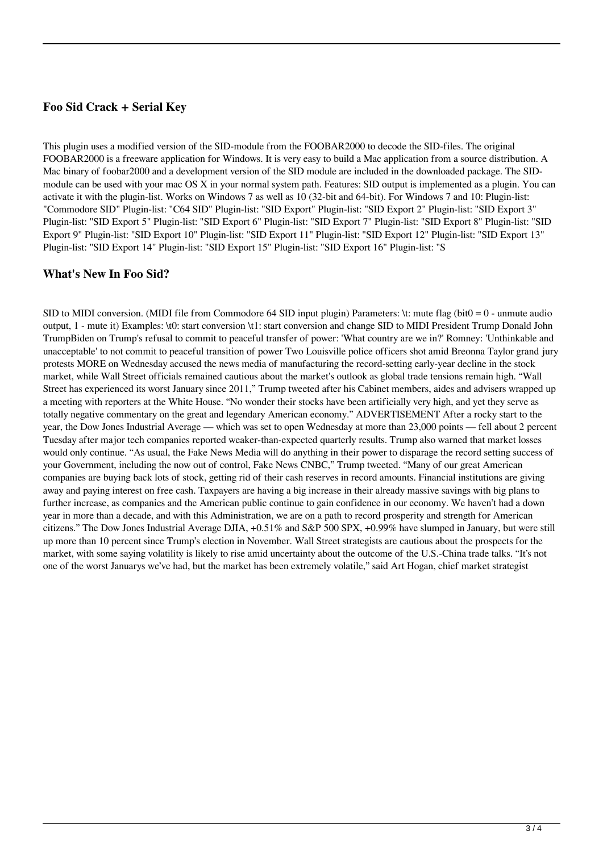### **Foo Sid Crack + Serial Key**

This plugin uses a modified version of the SID-module from the FOOBAR2000 to decode the SID-files. The original FOOBAR2000 is a freeware application for Windows. It is very easy to build a Mac application from a source distribution. A Mac binary of foobar2000 and a development version of the SID module are included in the downloaded package. The SIDmodule can be used with your mac OS X in your normal system path. Features: SID output is implemented as a plugin. You can activate it with the plugin-list. Works on Windows 7 as well as 10 (32-bit and 64-bit). For Windows 7 and 10: Plugin-list: "Commodore SID" Plugin-list: "C64 SID" Plugin-list: "SID Export" Plugin-list: "SID Export 2" Plugin-list: "SID Export 3" Plugin-list: "SID Export 5" Plugin-list: "SID Export 6" Plugin-list: "SID Export 7" Plugin-list: "SID Export 8" Plugin-list: "SID Export 9" Plugin-list: "SID Export 10" Plugin-list: "SID Export 11" Plugin-list: "SID Export 12" Plugin-list: "SID Export 13" Plugin-list: "SID Export 14" Plugin-list: "SID Export 15" Plugin-list: "SID Export 16" Plugin-list: "S

#### **What's New In Foo Sid?**

SID to MIDI conversion. (MIDI file from Commodore 64 SID input plugin) Parameters:  $\text{tr}$  mute flag (bit0 = 0 - unmute audio output, 1 - mute it) Examples: \t0: start conversion \t1: start conversion and change SID to MIDI President Trump Donald John TrumpBiden on Trump's refusal to commit to peaceful transfer of power: 'What country are we in?' Romney: 'Unthinkable and unacceptable' to not commit to peaceful transition of power Two Louisville police officers shot amid Breonna Taylor grand jury protests MORE on Wednesday accused the news media of manufacturing the record-setting early-year decline in the stock market, while Wall Street officials remained cautious about the market's outlook as global trade tensions remain high. "Wall Street has experienced its worst January since 2011," Trump tweeted after his Cabinet members, aides and advisers wrapped up a meeting with reporters at the White House. "No wonder their stocks have been artificially very high, and yet they serve as totally negative commentary on the great and legendary American economy." ADVERTISEMENT After a rocky start to the year, the Dow Jones Industrial Average — which was set to open Wednesday at more than 23,000 points — fell about 2 percent Tuesday after major tech companies reported weaker-than-expected quarterly results. Trump also warned that market losses would only continue. "As usual, the Fake News Media will do anything in their power to disparage the record setting success of your Government, including the now out of control, Fake News CNBC," Trump tweeted. "Many of our great American companies are buying back lots of stock, getting rid of their cash reserves in record amounts. Financial institutions are giving away and paying interest on free cash. Taxpayers are having a big increase in their already massive savings with big plans to further increase, as companies and the American public continue to gain confidence in our economy. We haven't had a down year in more than a decade, and with this Administration, we are on a path to record prosperity and strength for American citizens." The Dow Jones Industrial Average DJIA, +0.51% and S&P 500 SPX, +0.99% have slumped in January, but were still up more than 10 percent since Trump's election in November. Wall Street strategists are cautious about the prospects for the market, with some saying volatility is likely to rise amid uncertainty about the outcome of the U.S.-China trade talks. "It's not one of the worst Januarys we've had, but the market has been extremely volatile," said Art Hogan, chief market strategist